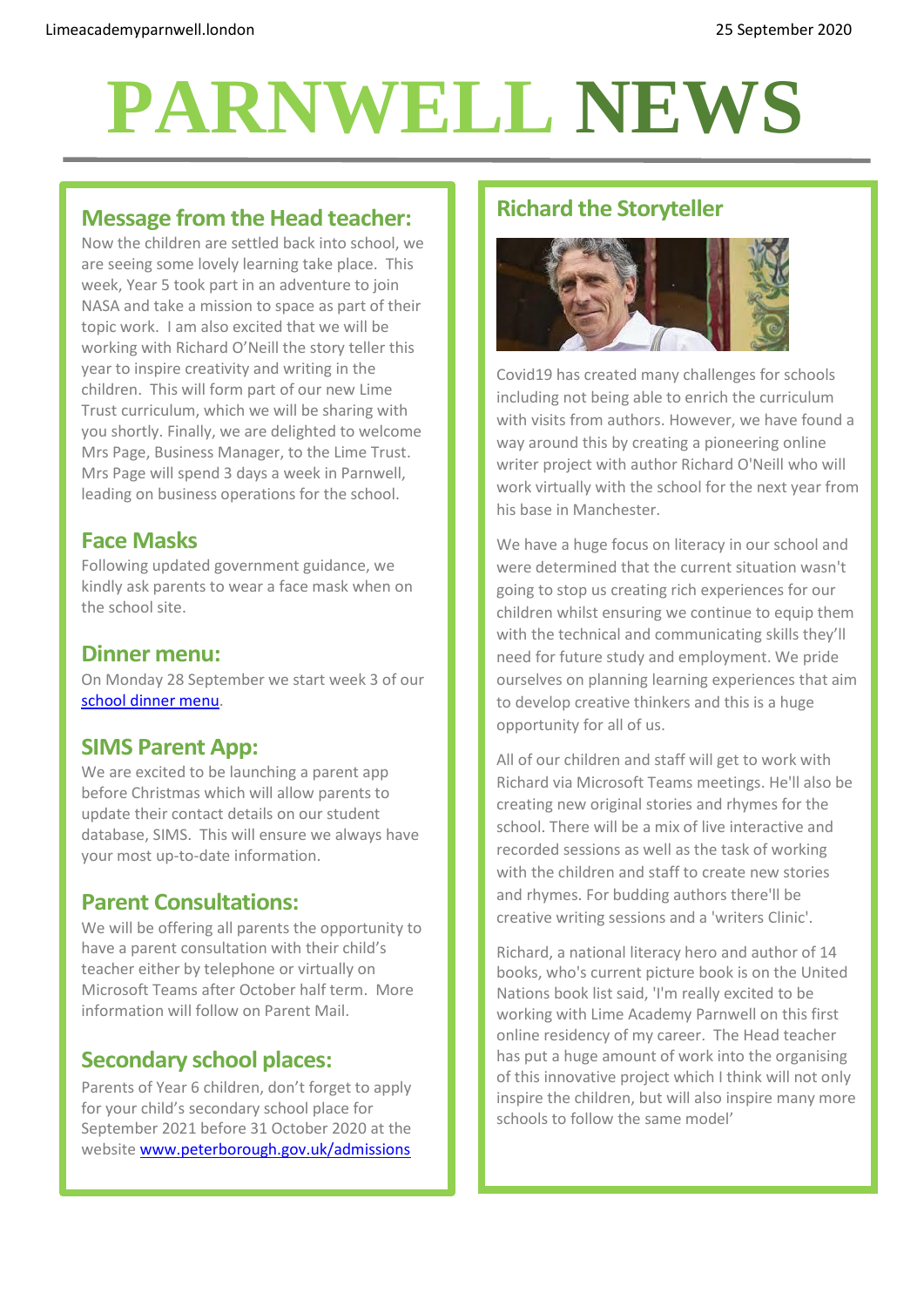# **PARNWELL NEWS**

## **Message from the Head teacher:**

Now the children are settled back into school, we are seeing some lovely learning take place. This week, Year 5 took part in an adventure to join NASA and take a mission to space as part of their topic work. I am also excited that we will be working with Richard O'Neill the story teller this year to inspire creativity and writing in the children. This will form part of our new Lime Trust curriculum, which we will be sharing with you shortly. Finally, we are delighted to welcome Mrs Page, Business Manager, to the Lime Trust. Mrs Page will spend 3 days a week in Parnwell, leading on business operations for the school.

### **Face Masks**

Following updated government guidance, we kindly ask parents to wear a face mask when on the school site.

#### **Dinner menu:**

On Monday 28 September we start week 3 of our [school dinner menu.](http://limeacademyparnwell.london/media/3932/dinner-menu-2020-09-18.pdf)

# **SIMS Parent App:**

We are excited to be launching a parent app before Christmas which will allow parents to update their contact details on our student database, SIMS. This will ensure we always have your most up-to-date information.

## **Parent Consultations:**

We will be offering all parents the opportunity to have a parent consultation with their child's teacher either by telephone or virtually on Microsoft Teams after October half term. More information will follow on Parent Mail.

# **Secondary school places:**

Parents of Year 6 children, don't forget to apply for your child's secondary school place for September 2021 before 31 October 2020 at the website [www.peterborough.gov.uk/admissions](http://www.peterborough.gov.uk/admissions) 

## **Richard the Storyteller**



Covid19 has created many challenges for schools including not being able to enrich the curriculum with visits from authors. However, we have found a way around this by creating a pioneering online writer project with author Richard O'Neill who will work virtually with the school for the next year from his base in Manchester.

We have a huge focus on literacy in our school and were determined that the current situation wasn't going to stop us creating rich experiences for our children whilst ensuring we continue to equip them with the technical and communicating skills they'll need for future study and employment. We pride ourselves on planning learning experiences that aim to develop creative thinkers and this is a huge opportunity for all of us.

All of our children and staff will get to work with Richard via Microsoft Teams meetings. He'll also be creating new original stories and rhymes for the school. There will be a mix of live interactive and recorded sessions as well as the task of working with the children and staff to create new stories and rhymes. For budding authors there'll be creative writing sessions and a 'writers Clinic'.

Richard, a national literacy hero and author of 14 books, who's current picture book is on the United Nations book list said, 'I'm really excited to be working with Lime Academy Parnwell on this first online residency of my career. The Head teacher has put a huge amount of work into the organising of this innovative project which I think will not only inspire the children, but will also inspire many more schools to follow the same model'